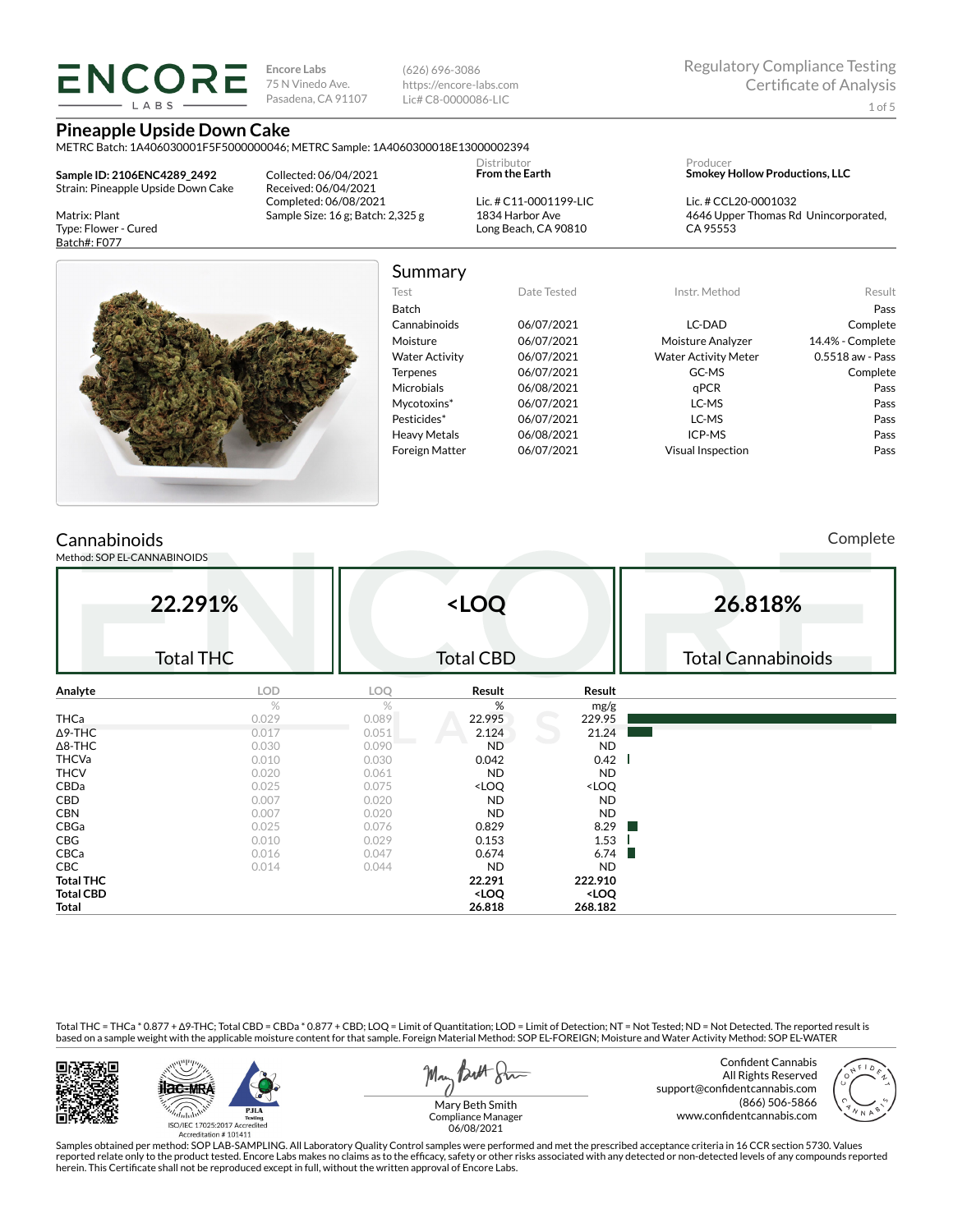## **LARS**

**Encore Labs** 75 N Vinedo Ave. Pasadena, CA 91107 (626) 696-3086 https://encore-labs.com Lic# C8-0000086-LIC

**Pineapple Upside Down Cake**

METRC Batch: 1A406030001F5F5000000046; METRC Sample: 1A4060300018E13000002394

**Sample ID: 2106ENC4289\_2492** Strain: Pineapple Upside Down Cake

Matrix: Plant Type: Flower - Cured Batch#: F077

Collected: 06/04/2021 Received: 06/04/2021 Completed: 06/08/2021 Sample Size: 16 g; Batch: 2,325 g **From the Earth** Lic. # C11-0001199-LIC 1834 Harbor Ave Long Beach, CA 90810

Distributor

Producer **Smokey Hollow Productions, LLC**

Lic. # CCL20-0001032 4646 Upper Thomas Rd Unincorporated, CA 95553



### Summary

| Test                  | Date Tested | Instr. Method               | Result           |
|-----------------------|-------------|-----------------------------|------------------|
| <b>Batch</b>          |             |                             | Pass             |
| Cannabinoids          | 06/07/2021  | LC-DAD                      | Complete         |
| Moisture              | 06/07/2021  | Moisture Analyzer           | 14.4% - Complete |
| <b>Water Activity</b> | 06/07/2021  | <b>Water Activity Meter</b> | 0.5518 aw - Pass |
| <b>Terpenes</b>       | 06/07/2021  | GC-MS                       | Complete         |
| <b>Microbials</b>     | 06/08/2021  | qPCR                        | Pass             |
| Mycotoxins*           | 06/07/2021  | LC-MS                       | Pass             |
| Pesticides*           | 06/07/2021  | LC-MS                       | Pass             |
| <b>Heavy Metals</b>   | 06/08/2021  | ICP-MS                      | Pass             |
| <b>Foreign Matter</b> | 06/07/2021  | Visual Inspection           | Pass             |

### **Cannabinoids**

Method: SOP EL-CANNABINOIDS

Complete

| 22.291%<br><b>Total THC</b> |            |       | <loq<br><b>Total CBD</b></loq<br>                        |                              | 26.818%<br><b>Total Cannabinoids</b> |
|-----------------------------|------------|-------|----------------------------------------------------------|------------------------------|--------------------------------------|
| Analyte                     | <b>LOD</b> | LOQ   | Result                                                   | Result                       |                                      |
|                             | %          | %     | %                                                        | mg/g                         |                                      |
| THCa                        | 0.029      | 0.089 | 22.995                                                   | 229.95                       |                                      |
| $\Delta$ 9-THC              | 0.017      | 0.051 | 2.124                                                    | 21.24                        |                                      |
| $\Delta$ 8-THC              | 0.030      | 0.090 | <b>ND</b>                                                | <b>ND</b>                    |                                      |
| <b>THCVa</b>                | 0.010      | 0.030 | 0.042                                                    | 0.42                         |                                      |
| <b>THCV</b>                 | 0.020      | 0.061 | <b>ND</b>                                                | <b>ND</b>                    |                                      |
| CBDa                        | 0.025      | 0.075 | <loq< td=""><td><loq< td=""><td></td></loq<></td></loq<> | <loq< td=""><td></td></loq<> |                                      |
| CBD                         | 0.007      | 0.020 | <b>ND</b>                                                | <b>ND</b>                    |                                      |
| <b>CBN</b>                  | 0.007      | 0.020 | <b>ND</b>                                                | <b>ND</b>                    |                                      |
| CBGa                        | 0.025      | 0.076 | 0.829                                                    | 8.29<br>a ka                 |                                      |
| CBG                         | 0.010      | 0.029 | 0.153                                                    | 1.53                         |                                      |
| CBCa                        | 0.016      | 0.047 | 0.674                                                    | 6.74<br>ш                    |                                      |
| CBC                         | 0.014      | 0.044 | <b>ND</b>                                                | <b>ND</b>                    |                                      |
| <b>Total THC</b>            |            |       | 22.291                                                   | 222.910                      |                                      |
| <b>Total CBD</b>            |            |       | <loq< td=""><td><loq< td=""><td></td></loq<></td></loq<> | <loq< td=""><td></td></loq<> |                                      |
| Total                       |            |       | 26.818                                                   | 268.182                      |                                      |

Total THC = THCa \* 0.877 + ∆9-THC; Total CBD = CBDa \* 0.877 + CBD; LOQ = Limit of Quantitation; LOD = Limit of Detection; NT = Not Tested; ND = Not Detected. The reported result is based on a sample weight with the applicable moisture content for that sample. Foreign Material Method: SOP EL-FOREIGN; Moisture and Water Activity Method: SOP EL-WATER





May Both Stre

Confident Cannabis All Rights Reserved support@confidentcannabis.com (866) 506-5866 www.confidentcannabis.com



Mary Beth Smith Compliance Manager 06/08/2021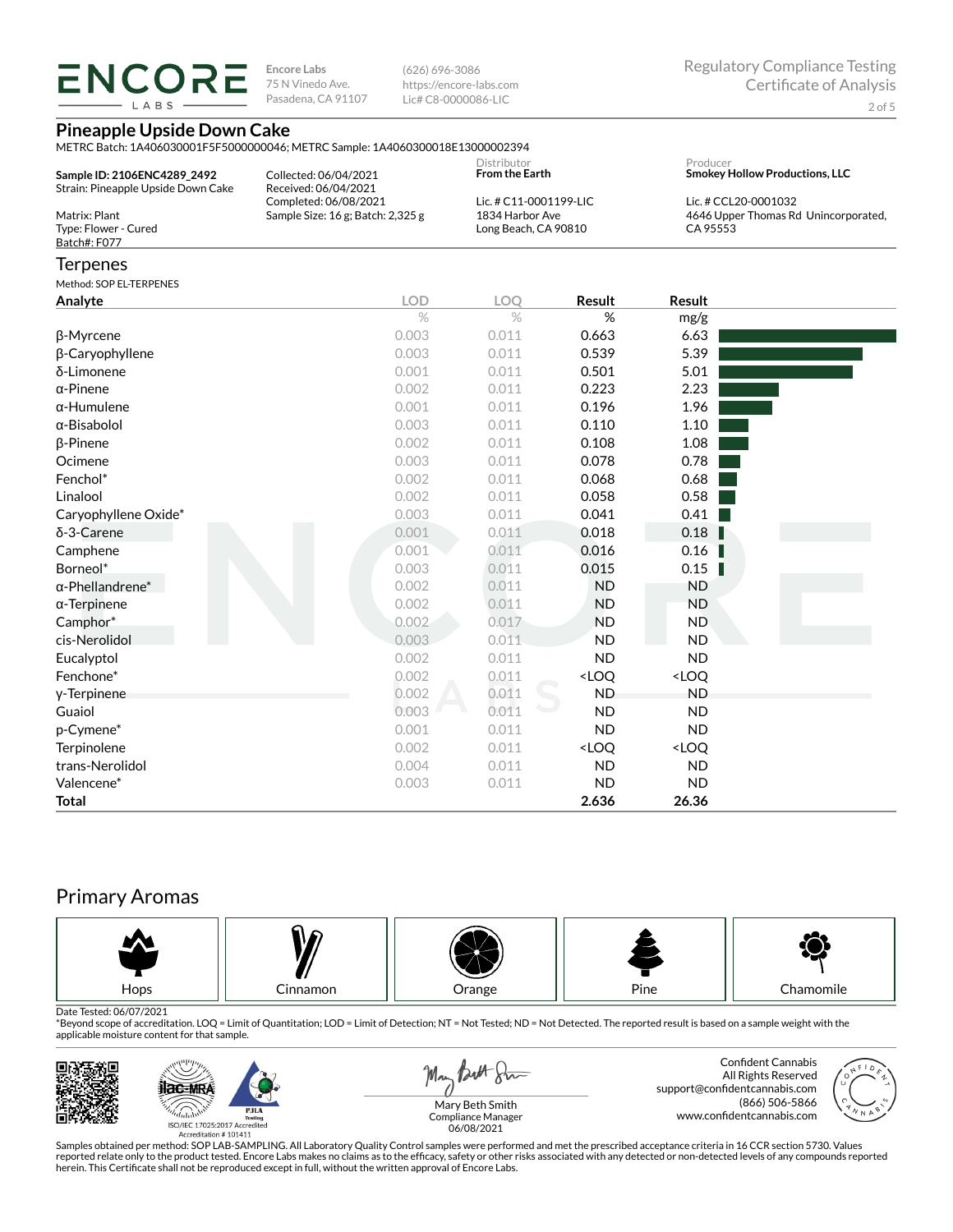LABS

**Encore Labs** 75 N Vinedo Ave. Pasadena, CA 91107 (626) 696-3086 https://encore-labs.com Lic# C8-0000086-LIC

### **Pineapple Upside Down Cake**

METRC Batch: 1A406030001F5F5000000046; METRC Sample: 1A4060300018E13000002394

| Sample ID: 2106ENC4289 2492<br>Strain: Pineapple Upside Down Cake | Collected: 06/04/2021<br>Received: 06/04/2021 | Distributor<br><b>From the Earth</b> | Producer<br><b>Smokey Hollow Productions, LLC</b> |
|-------------------------------------------------------------------|-----------------------------------------------|--------------------------------------|---------------------------------------------------|
|                                                                   | Completed: 06/08/2021                         | Lic. # C11-0001199-LIC               | Lic. # CCL20-0001032                              |
| Matrix: Plant                                                     | Sample Size: $16$ g; Batch: $2,325$ g         | 1834 Harbor Ave                      | 4646 Upper Thomas Rd Unincorporated,              |
| Type: Flower - Cured                                              |                                               | Long Beach, CA 90810                 | CA 95553                                          |
| Batch#: F077                                                      |                                               |                                      |                                                   |

### **Terpenes**

Method: SOP EL-TERPENES

| Method: SOP EL-I ERPENES |            |            |                                                          |                              |  |
|--------------------------|------------|------------|----------------------------------------------------------|------------------------------|--|
| Analyte                  | <b>LOD</b> | <b>LOO</b> | Result                                                   | <b>Result</b>                |  |
|                          | $\%$       | $\%$       | %                                                        | mg/g                         |  |
| β-Myrcene                | 0.003      | 0.011      | 0.663                                                    | 6.63                         |  |
| β-Caryophyllene          | 0.003      | 0.011      | 0.539                                                    | 5.39                         |  |
| δ-Limonene               | 0.001      | 0.011      | 0.501                                                    | 5.01                         |  |
| $\alpha$ -Pinene         | 0.002      | 0.011      | 0.223                                                    | 2.23                         |  |
| $\alpha$ -Humulene       | 0.001      | 0.011      | 0.196                                                    | 1.96                         |  |
| $\alpha$ -Bisabolol      | 0.003      | 0.011      | 0.110                                                    | 1.10                         |  |
| $\beta$ -Pinene          | 0.002      | 0.011      | 0.108                                                    | 1.08                         |  |
| Ocimene                  | 0.003      | 0.011      | 0.078                                                    | 0.78                         |  |
| Fenchol*                 | 0.002      | 0.011      | 0.068                                                    | 0.68                         |  |
| Linalool                 | 0.002      | 0.011      | 0.058                                                    | 0.58                         |  |
| Caryophyllene Oxide*     | 0.003      | 0.011      | 0.041                                                    | 0.41                         |  |
| δ-3-Carene               | 0.001      | 0.011      | 0.018                                                    | 0.18                         |  |
| Camphene                 | 0.001      | 0.011      | 0.016                                                    | 0.16                         |  |
| Borneol*                 | 0.003      | 0.011      | 0.015                                                    | 0.15<br>Т                    |  |
| $\alpha$ -Phellandrene*  | 0.002      | 0.011      | <b>ND</b>                                                | <b>ND</b>                    |  |
| $\alpha$ -Terpinene      | 0.002      | 0.011      | <b>ND</b>                                                | <b>ND</b>                    |  |
| Camphor*                 | 0.002      | 0.017      | <b>ND</b>                                                | <b>ND</b>                    |  |
| cis-Nerolidol            | 0.003      | 0.011      | <b>ND</b>                                                | <b>ND</b>                    |  |
| Eucalyptol               | 0.002      | 0.011      | <b>ND</b>                                                | <b>ND</b>                    |  |
| Fenchone*                | 0.002      | 0.011      | <loq< th=""><th><loq< th=""><th></th></loq<></th></loq<> | <loq< th=""><th></th></loq<> |  |
| y-Terpinene              | 0.002      | 0.011      | <b>ND</b>                                                | <b>ND</b>                    |  |
| Guaiol                   | 0.003      | 0.011      | <b>ND</b>                                                | <b>ND</b>                    |  |
| p-Cymene*                | 0.001      | 0.011      | <b>ND</b>                                                | <b>ND</b>                    |  |
| Terpinolene              | 0.002      | 0.011      | <loq< th=""><th><loq< th=""><th></th></loq<></th></loq<> | <loq< th=""><th></th></loq<> |  |
| trans-Nerolidol          | 0.004      | 0.011      | <b>ND</b>                                                | <b>ND</b>                    |  |
| Valencene*               | 0.003      | 0.011      | <b>ND</b>                                                | <b>ND</b>                    |  |
| Total                    |            |            | 2.636                                                    | 26.36                        |  |

### Primary Aromas



Date Tested: 06/07/2021<br>\*Beyond scope of accreditation. LOQ = Limit of Quantitation; LOD = Limit of Detection; NT = Not Tested; ND = Not Detected. The reported result is based on a sample weight with the applicable moisture content for that sample.



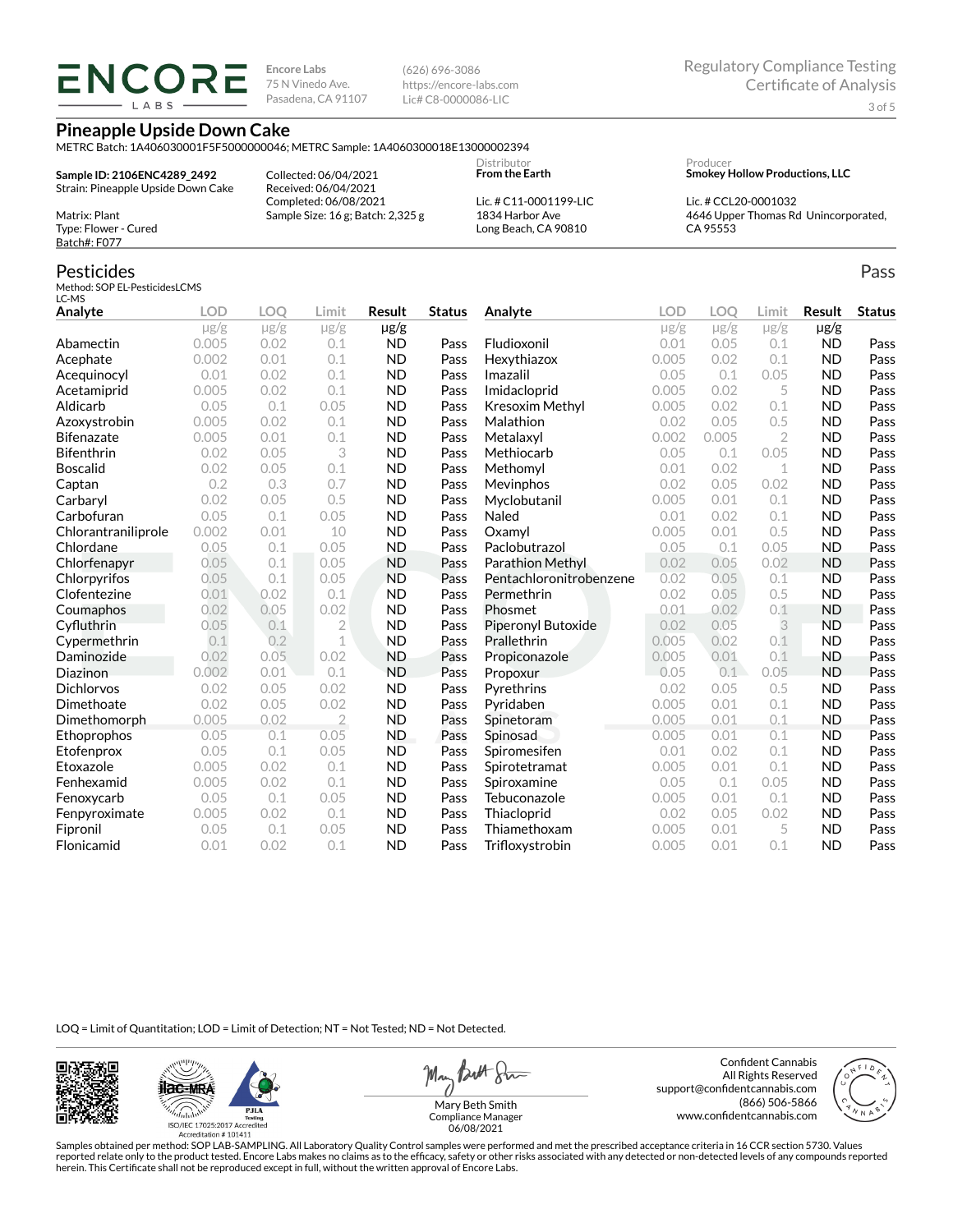# **ENCORE**

**Encore Labs** 75 N Vinedo Ave. Pasadena, CA 91107 (626) 696-3086 https://encore-labs.com Lic# C8-0000086-LIC

**Pineapple Upside Down Cake**

METRC Batch: 1A406030001F5F5000000046; METRC Sample: 1A4060300018E13000002394

**Sample ID: 2106ENC4289\_2492** Strain: Pineapple Upside Down Cake Collected: 06/04/2021 Received: 06/04/2021 Completed: 06/08/2021 Sample Size: 16 g; Batch: 2,325 g **From the Earth**

Distributor

Producer **Smokey Hollow Productions, LLC**

Lic. # CCL20-0001032 4646 Upper Thomas Rd Unincorporated, CA 95553

Pass

Matrix: Plant Type: Flower - Cured

Method: SOP EL-PesticidesLCMS

Batch#: F077

LC-MS

Pesticides

Lic. # C11-0001199-LIC 1834 Harbor Ave Long Beach, CA 90810

| Analyte             | <b>LOD</b> | LOO       | Limit     | Result    | Status | Analyte                 | LOD       | LOO   | Limit     | Result    | <b>Status</b> |
|---------------------|------------|-----------|-----------|-----------|--------|-------------------------|-----------|-------|-----------|-----------|---------------|
|                     | $\mu$ g/g  | $\mu$ g/g | $\mu$ g/g | $\mu$ g/g |        |                         | $\mu$ g/g | µg/g  | $\mu$ g/g | µg/g      |               |
| Abamectin           | 0.005      | 0.02      | 0.1       | ND        | Pass   | Fludioxonil             | 0.01      | 0.05  | 0.1       | ND.       | Pass          |
| Acephate            | 0.002      | 0.01      | 0.1       | <b>ND</b> | Pass   | Hexythiazox             | 0.005     | 0.02  | 0.1       | <b>ND</b> | Pass          |
| Acequinocyl         | 0.01       | 0.02      | 0.1       | ND.       | Pass   | Imazalil                | 0.05      | 0.1   | 0.05      | ND.       | Pass          |
| Acetamiprid         | 0.005      | 0.02      | 0.1       | <b>ND</b> | Pass   | Imidacloprid            | 0.005     | 0.02  |           | ND.       | Pass          |
| Aldicarb            | 0.05       | 0.1       | 0.05      | <b>ND</b> | Pass   | Kresoxim Methyl         | 0.005     | 0.02  | 0.1       | <b>ND</b> | Pass          |
| Azoxystrobin        | 0.005      | 0.02      | 0.1       | <b>ND</b> | Pass   | Malathion               | 0.02      | 0.05  | 0.5       | <b>ND</b> | Pass          |
| <b>Bifenazate</b>   | 0.005      | 0.01      | 0.1       | <b>ND</b> | Pass   | Metalaxyl               | 0.002     | 0.005 |           | <b>ND</b> | Pass          |
| <b>Bifenthrin</b>   | 0.02       | 0.05      | 3         | <b>ND</b> | Pass   | Methiocarb              | 0.05      | 0.1   | 0.05      | ND.       | Pass          |
| <b>Boscalid</b>     | 0.02       | 0.05      | 0.1       | ND        | Pass   | Methomyl                | 0.01      | 0.02  |           | <b>ND</b> | Pass          |
| Captan              | 0.2        | 0.3       | 0.7       | <b>ND</b> | Pass   | <b>Mevinphos</b>        | 0.02      | 0.05  | 0.02      | ND.       | Pass          |
| Carbaryl            | 0.02       | 0.05      | 0.5       | <b>ND</b> | Pass   | Myclobutanil            | 0.005     | 0.01  | 0.1       | <b>ND</b> | Pass          |
| Carbofuran          | 0.05       | 0.1       | 0.05      | ND.       | Pass   | Naled                   | 0.01      | 0.02  | 0.1       | <b>ND</b> | Pass          |
| Chlorantraniliprole | 0.002      | 0.01      | 10        | <b>ND</b> | Pass   | Oxamyl                  | 0.005     | 0.01  | 0.5       | ND.       | Pass          |
| Chlordane           | 0.05       | 0.1       | 0.05      | ND.       | Pass   | Paclobutrazol           | 0.05      | 0.1   | 0.05      | ND.       | Pass          |
| Chlorfenapyr        | 0.05       | 0.1       | 0.05      | <b>ND</b> | Pass   | Parathion Methyl        | 0.02      | 0.05  | 0.02      | ND.       | Pass          |
| Chlorpyrifos        | 0.05       | 0.1       | 0.05      | <b>ND</b> | Pass   | Pentachloronitrobenzene | 0.02      | 0.05  | 0.1       | <b>ND</b> | Pass          |
| Clofentezine        | 0.01       | 0.02      | 0.1       | <b>ND</b> | Pass   | Permethrin              | 0.02      | 0.05  | 0.5       | ND.       | Pass          |
| Coumaphos           | 0.02       | 0.05      | 0.02      | <b>ND</b> | Pass   | Phosmet                 | 0.01      | 0.02  | 0.1       | ND.       | Pass          |
| Cyfluthrin          | 0.05       | 0.1       | 2         | ND        | Pass   | Piperonyl Butoxide      | 0.02      | 0.05  |           | ND        | Pass          |

LOQ = Limit of Quantitation; LOD = Limit of Detection; NT = Not Tested; ND = Not Detected.

Cypermethrin 0.1 0.2 1 ND Pass Daminozide 0.02 0.05 0.02 ND Pass Diazinon 0.002 0.01 0.1 ND Pass Dichlorvos 0.02 0.05 0.02 ND Pass Dimethoate 0.02 0.05 0.02 ND Pass Dimethomorph 0.005 0.02 2 ND Pass Ethoprophos 0.05 0.1 0.05 ND Pass Etofenprox 0.05 0.1 0.05 ND Pass Etoxazole 0.005 0.02 0.1 ND Pass Fenhexamid 0.005 0.02 0.1 ND Pass Fenoxycarb 0.05 0.1 0.05 ND Pass Fenpyroximate 0.005 0.02 0.1 ND Pass Fipronil 0.05 0.1 0.05 ND Pass Flonicamid 0.01 0.02 0.1 ND Pass



**ilac-MRA P.ILA** أيطيبك ISO/IEC 17025:2017 Ac Accreditation #101411

May Butt 8m

Confident Cannabis All Rights Reserved support@confidentcannabis.com (866) 506-5866 www.confidentcannabis.com

**Prallethrin** 0.005 0.02 0.1 **ND Pass** Propiconazole 0.005 0.01 0.1 ND Pass **Propoxur 1988 0.05 0.1 0.05 ND Pass Pyrethrins 0.02 0.05 0.5 ND Pass Pyridaben 1988** 0.005 0.01 0.1 **ND Pass Spinetoram 0.005 0.01 0.1 ND Pass** Spinosad 0.005 0.01 0.1 ND Pass Spiromesifen 0.01 0.02 0.1 ND Pass Spirotetramat 0.005 0.01 0.1 ND Pass Spiroxamine 0.05 0.1 0.05 ND Pass Tebuconazole 0.005 0.01 0.1 ND Pass Thiacloprid 0.02 0.05 0.02 ND Pass Thiamethoxam 0.005 0.01 5 ND Pass Trifloxystrobin 0.005 0.01 0.1 ND Pass



Mary Beth Smith Compliance Manager 06/08/2021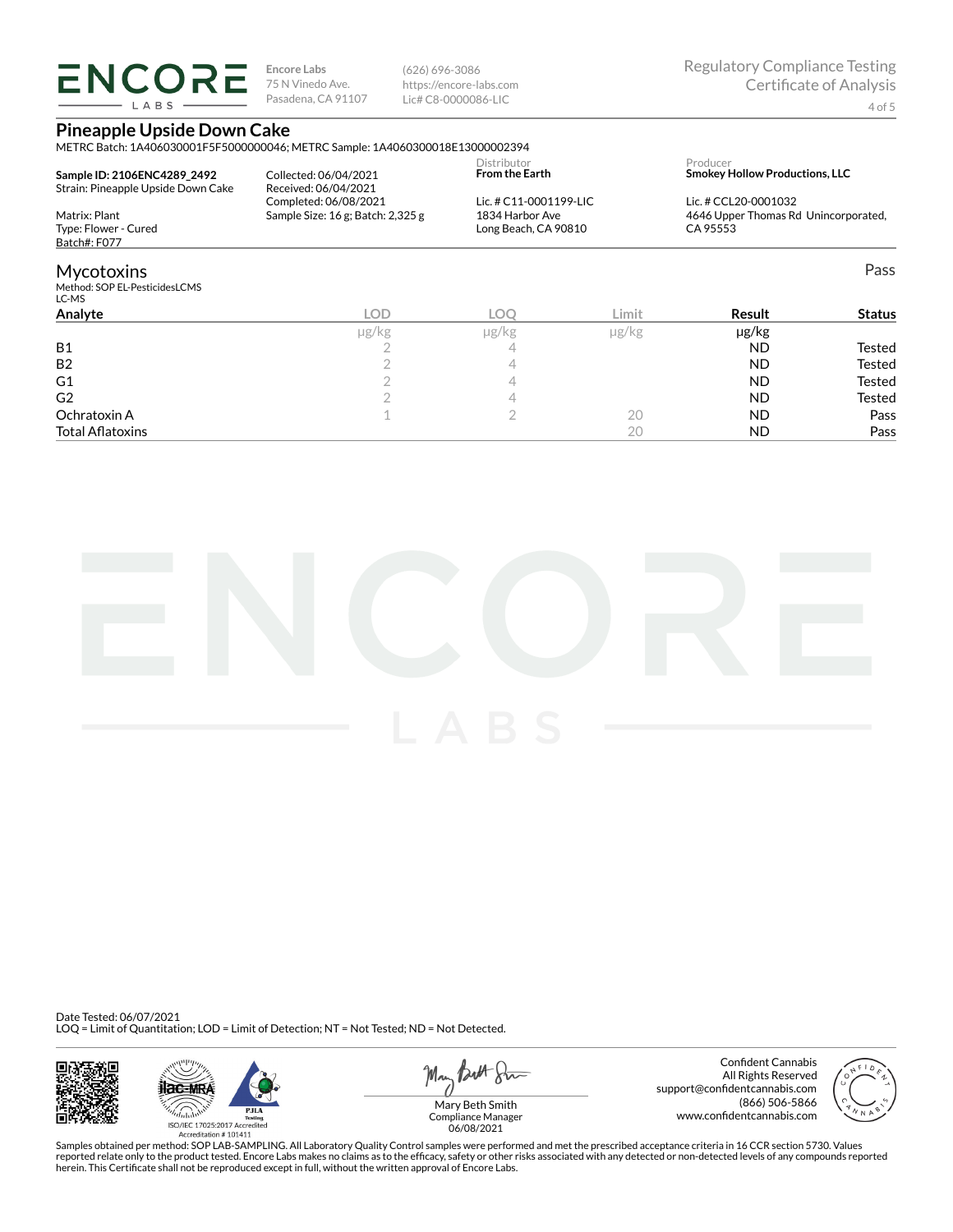**ENCORE** LABS

**Encore Labs** 75 N Vinedo Ave. Pasadena, CA 91107 (626) 696-3086 https://encore-labs.com Lic# C8-0000086-LIC

### **Pineapple Upside Down Cake**

METRC Batch: 1A406030001F5F5000000046; METRC Sample: 1A4060300018E13000002394

| Sample ID: 2106ENC4289 2492          | Collected: 06/04/2021                 | Distributor            | Producer                              |
|--------------------------------------|---------------------------------------|------------------------|---------------------------------------|
| Strain: Pineapple Upside Down Cake   | Received: 06/04/2021                  | <b>From the Earth</b>  | <b>Smokev Hollow Productions, LLC</b> |
| Matrix: Plant                        | Completed: 06/08/2021                 | Lic. # C11-0001199-LIC | Lic. # CCL20-0001032                  |
|                                      | Sample Size: $16$ g; Batch: $2,325$ g | 1834 Harbor Ave        | 4646 Upper Thomas Rd Unincorporated,  |
| Type: Flower - Cured<br>Batch#: F077 |                                       | Long Beach, CA 90810   | CA 95553                              |
| <b>Mycotoxins</b>                    |                                       |                        | Pass                                  |

### Mycotoxins

Method: SOP EL-PesticidesLCMS

| Limit<br><b>LOC</b><br>Result<br><b>Status</b> |
|------------------------------------------------|
| $\mu$ g/ $kg$<br>µg/kg<br>$\mu$ g/kg           |
| <b>ND</b><br>Tested                            |
| <b>Tested</b><br><b>ND</b>                     |
| <b>Tested</b><br><b>ND</b>                     |
| Tested<br><b>ND</b>                            |
| <b>ND</b><br>Pass<br>20                        |
| <b>ND</b><br>Pass<br>20                        |
|                                                |



Date Tested: 06/07/2021 LOQ = Limit of Quantitation; LOD = Limit of Detection; NT = Not Tested; ND = Not Detected.







Confident Cannabis All Rights Reserved support@confidentcannabis.com (866) 506-5866 www.confidentcannabis.com



Compliance Manager 06/08/2021